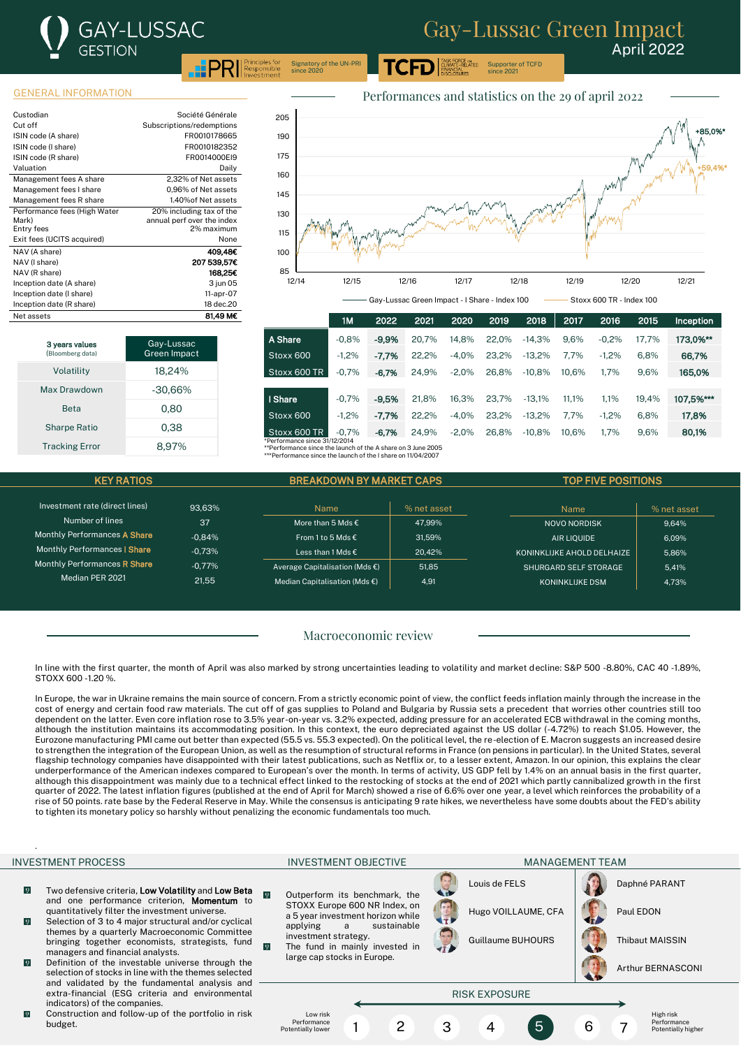

.<br>ASK FORCE o<mark>n</mark><br>CLIMATE-RELATED Supporter of TCFD

## GENERAL INFORMATION

3 years values omberg data

| Custodian                    | Société Générale           |
|------------------------------|----------------------------|
| Cut off                      | Subscriptions/redemptions  |
| ISIN code (A share)          | FR0010178665               |
| ISIN code (I share)          | FR0010182352               |
| ISIN code (R share)          | FR0014000EI9               |
| Valuation                    | Daily                      |
| Management fees A share      | 2.32% of Net assets        |
| Management fees I share      | 0,96% of Net assets        |
| Management fees R share      | 1.40% of Net assets        |
| Performance fees (High Water | 20% including tax of the   |
| Mark)                        | annual perf over the index |
| Entry fees                   | 2% maximum                 |
| Exit fees (UCITS acquired)   | None                       |
| NAV (A share)                | 409.48€                    |
| NAV (I share)                | 207 539.57€                |
| NAV (R share)                | 168.25€                    |
| Inception date (A share)     | 3 jun 05                   |
| Inception date (I share)     | 11-apr-07                  |
| Inception date (R share)     | 18 dec.20                  |
| Net assets                   | 81.49 M€                   |

Volatility 18,24% Max Drawdown -30,66% Beta 0.80 Sharpe Ratio 0.38 Tracking Error 8,97%

Gay-Lussac Green Impact



since 2021

|                                                              | 1M      | 2022    | 2021  | 2020    | 2019  | 2018     | 2017  | 2016    | 2015  | Inception |
|--------------------------------------------------------------|---------|---------|-------|---------|-------|----------|-------|---------|-------|-----------|
| A Share                                                      | $-0.8%$ | $-9.9%$ | 20.7% | 14.8%   | 22.0% | $-14.3%$ | 9.6%  | $-0.2%$ | 17.7% | 173,0%**  |
| Stoxx 600                                                    | $-1,2%$ | $-7.7%$ | 22.2% | $-4.0%$ | 23.2% | $-13.2%$ | 7.7%  | $-1,2%$ | 6,8%  | 66,7%     |
| Stoxx 600 TR                                                 | $-0.7%$ | $-6,7%$ | 24.9% | $-2.0%$ | 26.8% | $-10.8%$ | 10.6% | 1.7%    | 9.6%  | 165,0%    |
|                                                              |         |         |       |         |       |          |       |         |       |           |
| I Share                                                      | $-0.7%$ | $-9.5%$ | 21.8% | 16.3%   | 23.7% | $-13.1%$ | 11.1% | 1.1%    | 19.4% | 107,5%*** |
| Stoxx 600                                                    | $-1,2%$ | $-7.7%$ | 22.2% | $-4.0%$ | 23.2% | $-13.2%$ | 7.7%  | $-1,2%$ | 6,8%  | 17,8%     |
| Stoxx 600 TR                                                 | $-0.7%$ | $-6,7%$ | 24.9% | $-2.0%$ | 26.8% | $-10.8%$ | 10.6% | 1.7%    | 9,6%  | 80,1%     |
| *Performance since 31/12/2014                                |         |         |       |         |       |          |       |         |       |           |
| **Performance since the launch of the A share on 3 June 2005 |         |         |       |         |       |          |       |         |       |           |

\*\*\*Performance since the launch of the I share on 11/04/2007

Signatory of the UN-PRI since 2020

| <b>KEY RATIOS</b>              |          | <b>BREAKDOWN BY MARKET CAPS</b>          |             |                            | <b>TOP FIVE POSITIONS</b> |  |  |
|--------------------------------|----------|------------------------------------------|-------------|----------------------------|---------------------------|--|--|
| Investment rate (direct lines) | 93.63%   | <b>Name</b>                              | % net asset | <b>Name</b>                | % net asset               |  |  |
| Number of lines                | 37       | More than 5 Mds $\epsilon$               | 47.99%      | <b>NOVO NORDISK</b>        | 9.64%                     |  |  |
| Monthly Performances A Share   | $-0.84%$ | From 1 to 5 Mds $\epsilon$               | 31.59%      | <b>AIR LIOUIDE</b>         | 6.09%                     |  |  |
| Monthly Performances   Share   | $-0.73%$ | Less than 1 Mds €                        | 20.42%      | KONINKLIJKE AHOLD DELHAIZE | 5.86%                     |  |  |
| Monthly Performances R Share   | $-0.77%$ | Average Capitalisation (Mds $\epsilon$ ) | 51.85       | SHURGARD SELF STORAGE      | 5.41%                     |  |  |
| Median PER 2021                | 21.55    | Median Capitalisation (Mds $\epsilon$ )  | 4,91        | KONINKLIJKE DSM            | 4.73%                     |  |  |

## Macroeconomic review

In line with the first quarter, the month of April was also marked by strong uncertainties leading to volatility and market decline: S&P 500 -8.80%, CAC 40 -1.89%, STOXX 600 -1.20 %.

In Europe, the war in Ukraine remains the main source of concern. From a strictly economic point of view, the conflict feeds inflation mainly through the increase in the cost of energy and certain food raw materials. The cut off of gas supplies to Poland and Bulgaria by Russia sets a precedent that worries other countries still too dependent on the latter. Even core inflation rose to 3.5% year-on-year vs. 3.2% expected, adding pressure for an accelerated ECB withdrawal in the coming months, although the institution maintains its accommodating position. In this context, the euro depreciated against the US dollar (-4.72%) to reach \$1.05. However, the Eurozone manufacturing PMI came out better than expected (55.5 vs. 55.3 expected). On the political level, the re-election of E. Macron suggests an increased desire to strengthen the integration of the European Union, as well as the resumption of structural reforms in France (on pensions in particular). In the United States, several flagship technology companies have disappointed with their latest publications, such as Netflix or, to a lesser extent, Amazon. In our opinion, this explains the clear underperformance of the American indexes compared to European's over the month. In terms of activity, US GDP fell by 1.4% on an annual basis in the first quarter, although this disappointment was mainly due to a technical effect linked to the restocking of stocks at the end of 2021 which partly cannibalized growth in the first quarter of 2022. The latest inflation figures (published at the end of April for March) showed a rise of 6.6% over one year, a level which reinforces the probability of a rise of 50 points. rate base by the Federal Reserve in May. While the consensus is anticipating 9 rate hikes, we nevertheless have some doubts about the FED's ability to tighten its monetary policy so harshly without penalizing the economic fundamentals too much.

## INVESTMENT PROCESS INVESTMENT OBJECTIVE MANAGEMENT TEAM INVESTMENT OBJECTIVE

.

Low risk Performance Potentially lowe

 $\overline{0}$ 

 $\overline{0}$ 

- $\sqrt{9}$ Two defensive criteria, Low Volatility and Low Beta and one performance criterion, Momentum to quantitatively filter the investment universe.
- $\overline{0}$ Selection of 3 to 4 major structural and/or cyclical themes by a quarterly Macroeconomic Committee bringing together economists, strategists, fund managers and financial analysts.
- $\sqrt{2}$ Definition of the investable universe through the selection of stocks in line with the themes selected and validated by the fundamental analysis and extra-financial (ESG criteria and environmental indicators) of the companies.
- $\overline{Q}$ Construction and follow-up of the portfolio in risk budget.

Outperform its benchmark, the STOXX Europe 600 NR Index, on a 5 year investment horizon while<br>applying a sustainable a sustainable investment strategy. The fund in mainly invested in large cap stocks in Europe.





Hugo VOILLAUME, CFA | Paul EDON



Arthur BERNASCONI

RISK EXPOSURE 1 2 3 4 5 6 7

High risk Performance Potentially higher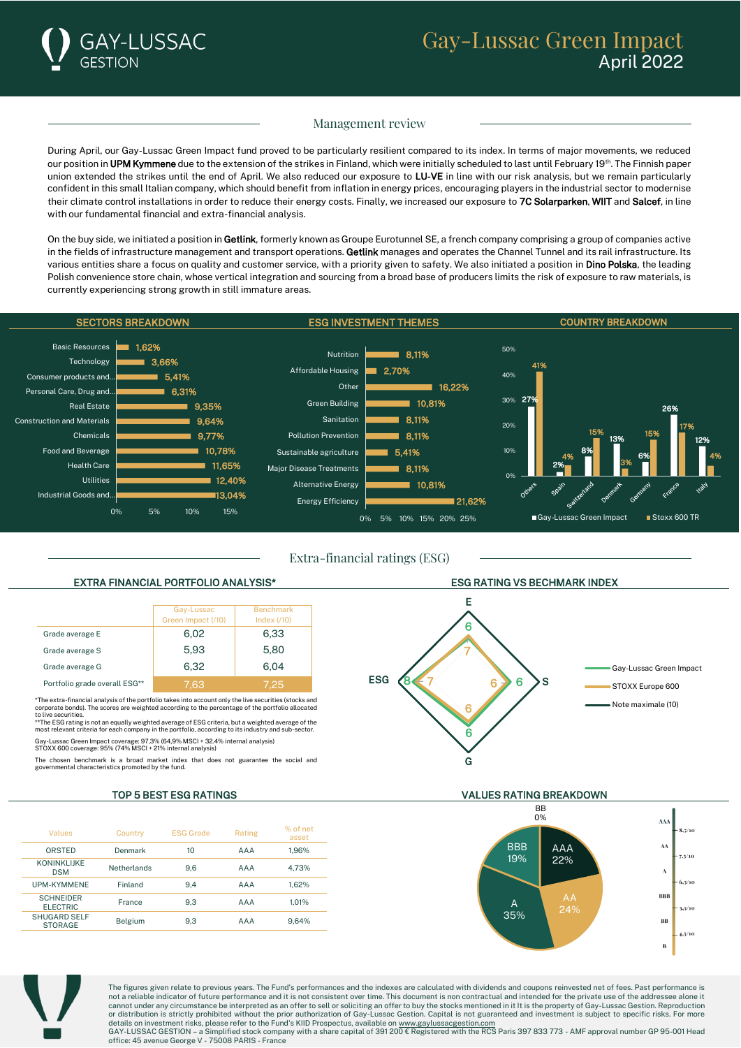

## Management review

During April, our Gay-Lussac Green Impact fund proved to be particularly resilient compared to its index. In terms of major movements, we reduced our position in UPM Kymmene due to the extension of the strikes in Finland, which were initially scheduled to last until February 19<sup>th</sup>. The Finnish paper union extended the strikes until the end of April. We also reduced our exposure to LU-VE in line with our risk analysis, but we remain particularly confident in this small Italian company, which should benefit from inflation in energy prices, encouraging players in the industrial sector to modernise their climate control installations in order to reduce their energy costs. Finally, we increased our exposure to 7C Solarparken, WIIT and Salcef, in line with our fundamental financial and extra-financial analysis.

On the buy side, we initiated a position in Getlink, formerly known as Groupe Eurotunnel SE, a french company comprising a group of companies active in the fields of infrastructure management and transport operations. Getlink manages and operates the Channel Tunnel and its rail infrastructure. Its various entities share a focus on quality and customer service, with a priority given to safety. We also initiated a position in Dino Polska, the leading Polish convenience store chain, whose vertical integration and sourcing from a broad base of producers limits the risk of exposure to raw materials, is currently experiencing strong growth in still immature areas.



Extra-financial ratings (ESG)

|                               | Gay-Lussac<br>Green Impact (/10) | <b>Benchmark</b><br>Index $(710)$ |
|-------------------------------|----------------------------------|-----------------------------------|
| Grade average E               | 6,02                             | 6,33                              |
| Grade average S               | 5,93                             | 5,80                              |
| Grade average G               | 6.32                             | 6.04                              |
| Portfolio grade overall ESG** | 7.63                             | 7.25                              |

\*The extra-financial analysis of the portfolio takes into account only the live securities (stocks and corporate bonds). The scores are weighted according to the percentage of the portfolio allocated to live securities.

\*\*The ESG rating is not an equally weighted average of ESG criteria, but a weighted average of the most relevant criteria for each company in the portfolio, according to its industry and sub-sector.

Gay-Lussac Green Impact coverage: 97,3% (64,9% MSCI + 32.4% internal analysis) STOXX 600 coverage: 95% (74% MSCI + 21% internal analysis)

The chosen benchmark is a broad market index that does not guarantee the social and mental characteristics promoted by the fund.

| Values                                | Country            | <b>ESG Grade</b> | Rating | % of net<br>asset |
|---------------------------------------|--------------------|------------------|--------|-------------------|
| ORSTED                                | Denmark            | 10               | AAA    | 1.96%             |
| <b>KONINKLIJKE</b><br><b>DSM</b>      | <b>Netherlands</b> | 9.6              | AAA    | 4.73%             |
| UPM-KYMMENE                           | Finland            | 9.4              | AAA    | 1.62%             |
| <b>SCHNEIDER</b><br><b>ELECTRIC</b>   | <b>France</b>      | 9.3              | AAA    | 1.01%             |
| <b>SHUGARD SELF</b><br><b>STORAGE</b> | Belgium            | 9.3              | AAA    | 9.64%             |



## TOP 5 BEST ESG RATINGS VALUES RATING BREAKDOWN





The figures given relate to previous years. The Fund's performances and the indexes are calculated with dividends and coupons reinvested net of fees. Past performance is not a reliable indicator of future performance and it is not consistent over time. This document is non contractual and intended for the private use of the addressee alone it cannot under any circumstance be interpreted as an offer to sell or soliciting an offer to buy the stocks mentioned in it It is the property of Gay-Lussac Gestion. Reproduction or distribution is strictly prohibited without the prior authorization of Gay-Lussac Gestion. Capital is not guaranteed and investment is subject to specific risks. For more<br>details on investment risks, please refer to the GAY-LUSSAC GESTION – a Simplified stock company with a share capital of 391 200 € Registered with the RCS Paris 397 833 773 - AMF approval number GP 95-001 Head office: 45 avenue George V - 75008 PARIS - France